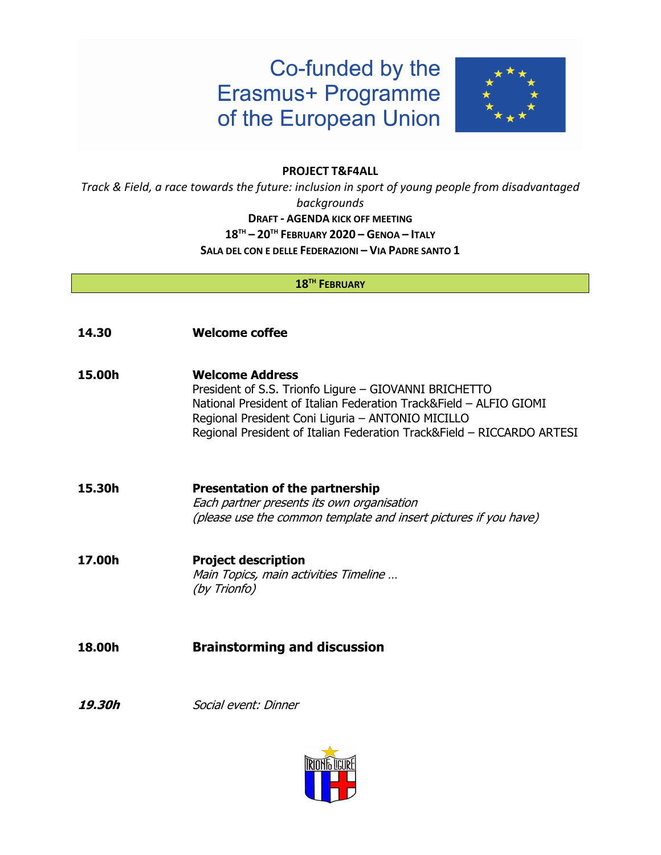# Co-funded by the **Erasmus+ Programme** of the European Union



#### **PROJECT T&F4ALL**

*Track & Field, a race towards the future: inclusion in sport of young people from disadvantaged backgrounds* **DRAFT - AGENDA KICK OFF MEETING 18TH – 20TH FEBRUARY 2020 – GENOA – ITALY SALA DEL CON E DELLE FEDERAZIONI – VIA PADRE SANTO 1**

#### **18TH FEBRUARY**

- **14.30 Welcome coffee**
- **15.00h Welcome Address** President of S.S. Trionfo Ligure – GIOVANNI BRICHETTO National President of Italian Federation Track&Field – ALFIO GIOMI Regional President Coni Liguria – ANTONIO MICILLO Regional President of Italian Federation Track&Field – RICCARDO ARTESI
- **15.30h Presentation of the partnership**  Each partner presents its own organisation (please use the common template and insert pictures if you have)
- **17.00h Project description**  Main Topics, main activities Timeline … (by Trionfo)
- **18.00h Brainstorming and discussion**
- **19.30h** Social event: Dinner

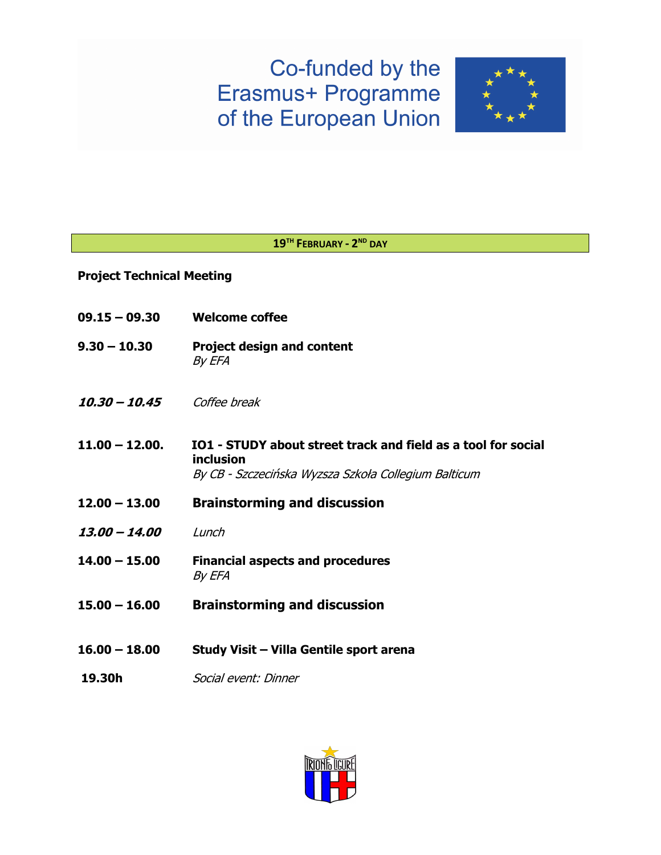# Co-funded by the Erasmus+ Programme of the European Union



### **19TH FEBRUARY - 2ND DAY**

### **Project Technical Meeting**

| $09.15 - 09.30$  | <b>Welcome coffee</b>                                                                                                              |
|------------------|------------------------------------------------------------------------------------------------------------------------------------|
| $9.30 - 10.30$   | <b>Project design and content</b><br>By EFA                                                                                        |
| $10.30 - 10.45$  | Coffee break                                                                                                                       |
| $11.00 - 12.00.$ | IO1 - STUDY about street track and field as a tool for social<br>inclusion<br>By CB - Szczecińska Wyzsza Szkoła Collegium Balticum |
| $12.00 - 13.00$  | <b>Brainstorming and discussion</b>                                                                                                |
| 13.00 - 14.00    | Lunch                                                                                                                              |
| $14.00 - 15.00$  | <b>Financial aspects and procedures</b><br>By EFA                                                                                  |
| $15.00 - 16.00$  | <b>Brainstorming and discussion</b>                                                                                                |
| $16.00 - 18.00$  | Study Visit - Villa Gentile sport arena                                                                                            |
| 19.30h           | Social event: Dinner                                                                                                               |